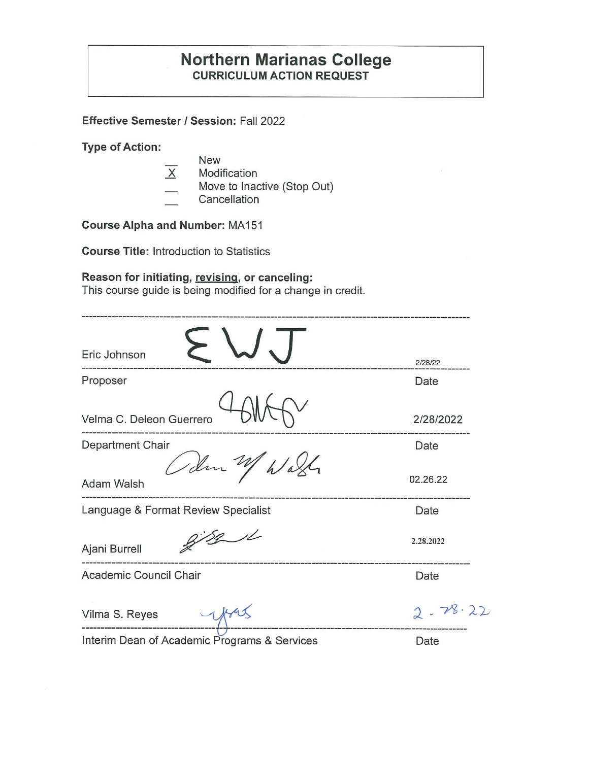## **Northern Marianas College CURRICULUM ACTION REQUEST**

**Effective Semester/ Session:** Fall 2022

**Type of Action:** 

- New
- $\overline{X}$  Modification
- Move to Inactive (Stop Out)
- **Cancellation**

**Course Alpha and Number:** MA 151

**Course Title:** Introduction to Statistics

## **Reason for initiating, revising, or canceling:**

This course guide is being modified for a change in credit.

| Eric Johnson                                 | 2/28/22     |
|----------------------------------------------|-------------|
| Proposer                                     | Date        |
| Velma C. Deleon Guerrero                     | 2/28/2022   |
| Department Chair                             | Date        |
| Odm W<br>h/a<br>Adam Walsh                   | 02.26.22    |
| Language & Format Review Specialist          | Date        |
| 8/8/1<br>Ajani Burrell                       | 2.28.2022   |
| Academic Council Chair                       | Date        |
| Vilma S. Reyes                               | $2 - 78.22$ |
| Interim Dean of Academic Programs & Services | Date        |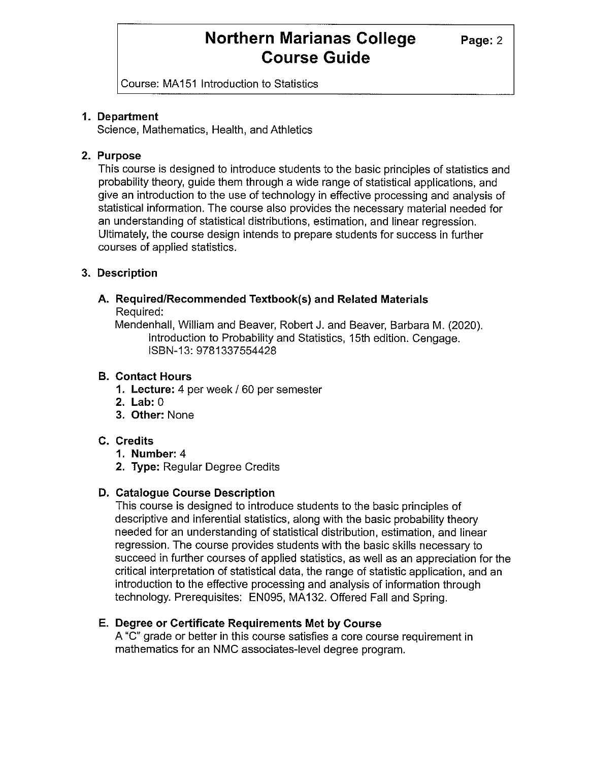## **Northern Marianas College** Page: 2 **Course Guide**

Course: MA 151 Introduction to Statistics

### **1. Department**

Science, Mathematics, Health, and Athletics

### **2. Purpose**

This course is designed to introduce students to the basic principles of statistics and probability theory, guide them through a wide range of statistical applications, and give an introduction to the use of technology in effective processing and analysis of statistical information. The course also provides the necessary material needed for an understanding of statistical distributions, estimation, and linear regression. Ultimately, the course design intends to prepare students for success in further courses of applied statistics.

### **3. Description**

#### **A. Required/Recommended Textbook(s) and Related Materials**  Required:

Mendenhall, William and Beaver, Robert J. and Beaver, Barbara M. (2020). Introduction to Probability and Statistics, 15th edition. Cengage. ISBN-13: 9781337554428

### **B. Contact Hours**

- **1. Lecture:** 4 per week / 60 per semester
- **2. Lab:** 0
- **3. Other:** None

## **C. Credits**

- **1. Number:** 4
- **2. Type:** Regular Degree Credits

## **D. Catalogue Course Description**

This course is designed to introduce students to the basic principles of descriptive and inferential statistics, along with the basic probability theory needed for an understanding of statistical distribution, estimation, and linear regression. The course provides students with the basic skills necessary to succeed in further courses of applied statistics, as well as an appreciation for the critical interpretation of statistical data, the range of statistic application, and an introduction to the effective processing and analysis of information through technology. Prerequisites: EN095, MA132. Offered Fall and Spring.

## **E. Degree or Certificate Requirements Met by Course**

A "C" grade or better in this course satisfies a core course requirement in mathematics for an NMC associates-level degree program.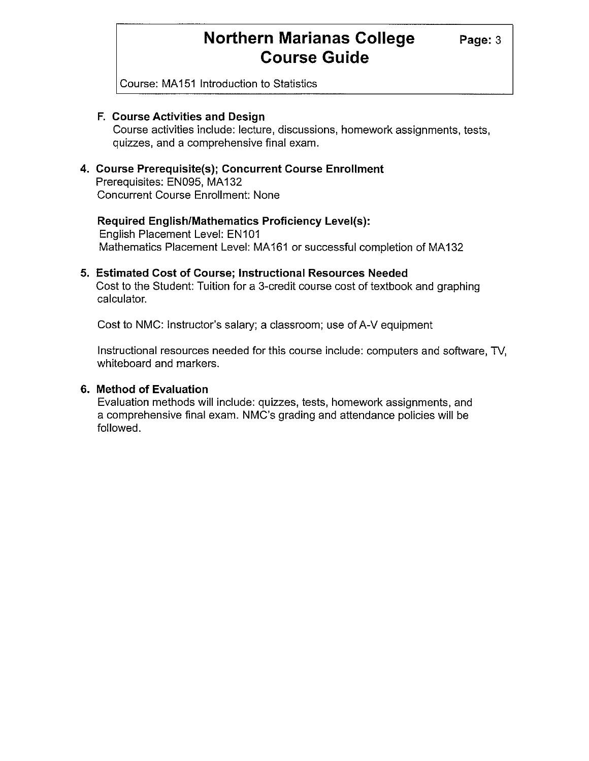## **Northern Marianas College** Page: 3 **Course Guide**

Course: MA 151 Introduction to Statistics

#### **F. Course Activities and Design**

Course activities include: lecture, discussions, homework assignments, tests, quizzes, and a comprehensive final exam.

#### **4. Course Prerequisite(s); Concurrent Course Enrollment**

Prerequisites: EN095, MA132 Concurrent Course Enrollment: None

#### **Required English/Mathematics Proficiency Level(s):**

English Placement Level: EN101 Mathematics Placement Level: MA161 or successful completion of MA132

#### **5. Estimated Cost of Course; Instructional Resources Needed**

Cost to the Student: Tuition for a 3-credit course cost of textbook and graphing calculator.

Cost to NMC: Instructor's salary; a classroom; use of A-V equipment

Instructional resources needed for this course include: computers and software, TV, whiteboard and markers.

#### **6. Method of Evaluation**

Evaluation methods will include: quizzes, tests, homework assignments, and a comprehensive final exam. NMC's grading and attendance policies will be followed.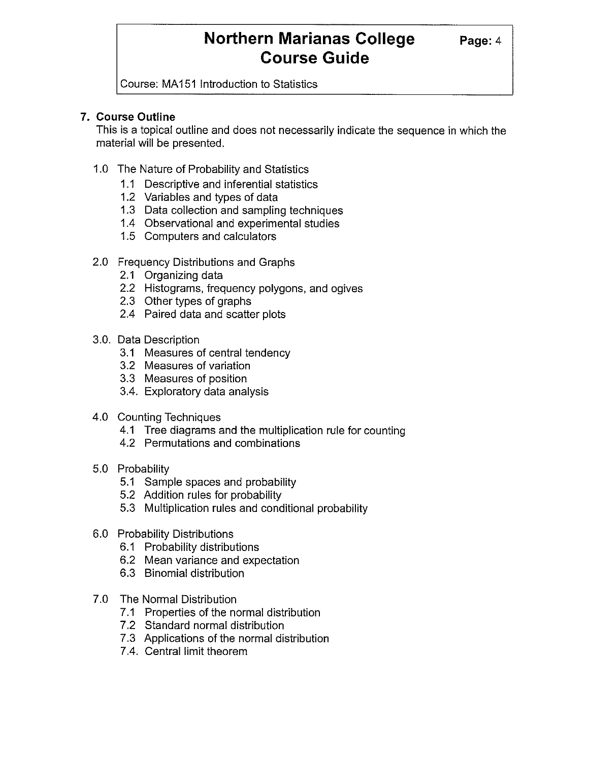## **Northern Marianas College Page: 4 Course Guide**

Course: MA 151 Introduction to Statistics

### **7. Course Outline**

This is a topical outline and does not necessarily indicate the sequence in which the material will be presented.

- 1.0 The Nature of Probability and Statistics
	- 1.1 Descriptive and inferential statistics
	- 1.2 Variables and types of data
	- 1.3 Data collection and sampling techniques
	- 1.4 Observational and experimental studies
	- 1.5 Computers and calculators
- 2.0 Frequency Distributions and Graphs
	- 2.1 Organizing data
	- 2.2 Histograms, frequency polygons, and ogives
	- 2.3 Other types of graphs
	- 2.4 Paired data and scatter plots
- 3.0. Data Description
	- 3.1 Measures of central tendency
	- 3.2 Measures of variation
	- 3.3 Measures of position
	- 3.4. Exploratory data analysis
- 4.0 Counting Techniques
	- 4.1 Tree diagrams and the multiplication rule for counting
	- 4.2 Permutations and combinations
- 5.0 Probability
	- 5.1 Sample spaces and probability
	- 5.2 Addition rules for probability
	- 5.3 Multiplication rules and conditional probability
- 6.0 Probability Distributions
	- 6.1 Probability distributions
	- 6.2 Mean variance and expectation
	- 6.3 Binomial distribution
- 7.0 The Normal Distribution
	- 7.1 Properties of the normal distribution
	- 7.2 Standard normal distribution
	- 7.3 Applications of the normal distribution
	- 7.4. Central limit theorem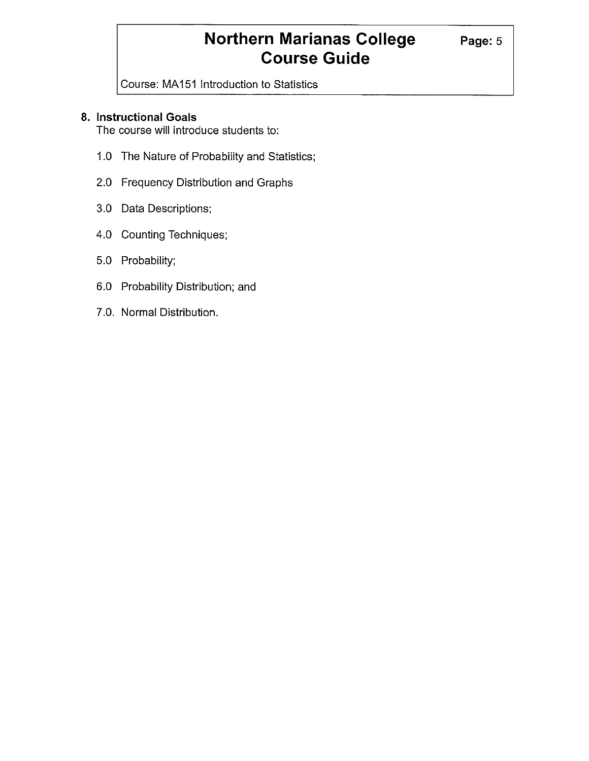# **Northern Marianas College Page: 5 Course Guide**

Course: MA151 Introduction to Statistics

## **8. Instructional Goals**

The course will introduce students to:

- 1.0 The Nature of Probability and Statistics;
- 2.0 Frequency Distribution and Graphs
- 3.0 Data Descriptions;
- 4.0 Counting Techniques;
- 5.0 Probability;
- 6.0 Probability Distribution; and
- 7.0. Normal Distribution.